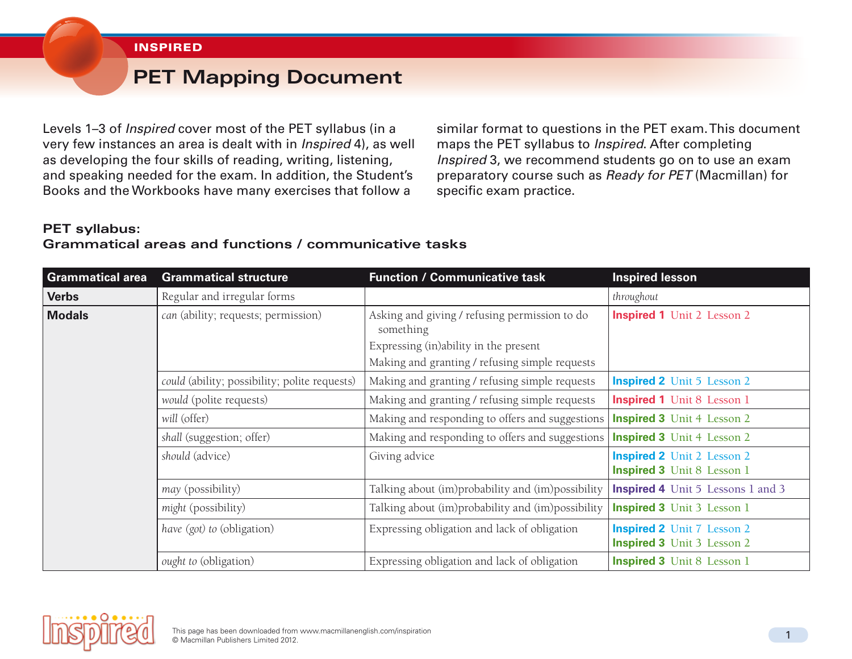#### **INSPIRED**

# **PET Mapping Document**

Levels 1–3 of *Inspired* cover most of the PET syllabus (in a very few instances an area is dealt with in *Inspired* 4), as well as developing the four skills of reading, writing, listening, and speaking needed for the exam. In addition, the Student's Books and the Workbooks have many exercises that follow a

similar format to questions in the PET exam. This document maps the PET syllabus to *Inspired*. After completing *Inspired* 3, we recommend students go on to use an exam preparatory course such as *Ready for PET* (Macmillan) for specific exam practice.

## **PET syllabus: Grammatical areas and functions / communicative tasks**

| <b>Grammatical area</b> | <b>Grammatical structure</b>                  | <b>Function / Communicative task</b>                       | <b>Inspired lesson</b>                                                 |
|-------------------------|-----------------------------------------------|------------------------------------------------------------|------------------------------------------------------------------------|
| <b>Verbs</b>            | Regular and irregular forms                   |                                                            | throughout                                                             |
| <b>Modals</b>           | can (ability; requests; permission)           | Asking and giving / refusing permission to do<br>something | <b>Inspired 1</b> Unit 2 Lesson 2                                      |
|                         |                                               | Expressing (in)ability in the present                      |                                                                        |
|                         |                                               | Making and granting / refusing simple requests             |                                                                        |
|                         | could (ability; possibility; polite requests) | Making and granting / refusing simple requests             | <b>Inspired 2</b> Unit 5 Lesson 2                                      |
|                         | would (polite requests)                       | Making and granting / refusing simple requests             | <b>Inspired 1</b> Unit 8 Lesson 1                                      |
|                         | will (offer)                                  | Making and responding to offers and suggestions            | <b>Inspired 3</b> Unit 4 Lesson 2                                      |
|                         | shall (suggestion; offer)                     | Making and responding to offers and suggestions            | <b>Inspired 3</b> Unit 4 Lesson 2                                      |
|                         | should (advice)                               | Giving advice                                              | <b>Inspired 2</b> Unit 2 Lesson 2<br><b>Inspired 3</b> Unit 8 Lesson 1 |
|                         | may (possibility)                             | Talking about (im)probability and (im)possibility          | <b>Inspired 4</b> Unit 5 Lessons 1 and 3                               |
|                         | might (possibility)                           | Talking about (im)probability and (im)possibility          | <b>Inspired 3</b> Unit 3 Lesson 1                                      |
|                         | have (got) to (obligation)                    | Expressing obligation and lack of obligation               | <b>Inspired 2</b> Unit 7 Lesson 2<br><b>Inspired 3</b> Unit 3 Lesson 2 |
|                         | ought to (obligation)                         | Expressing obligation and lack of obligation               | <b>Inspired 3</b> Unit 8 Lesson 1                                      |

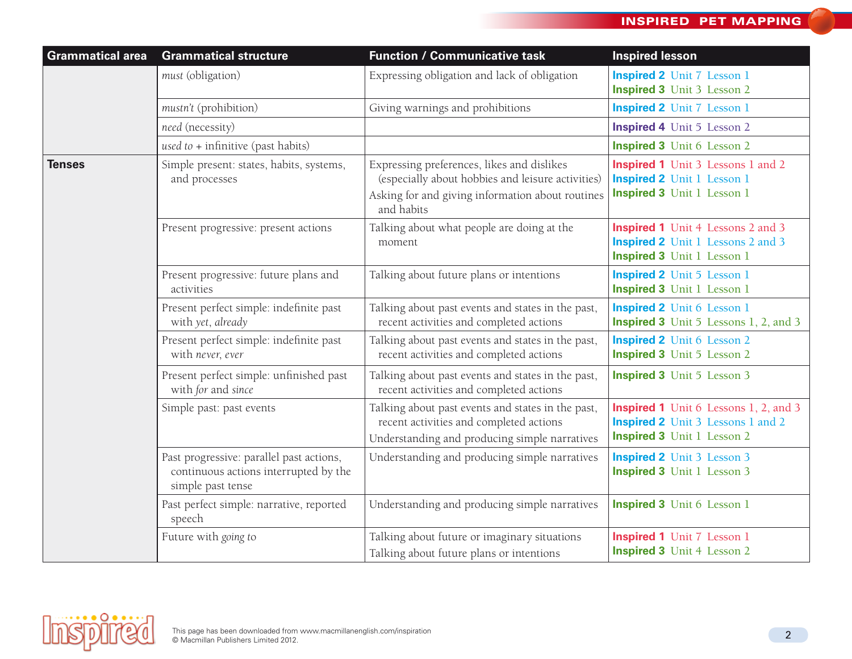| <b>Grammatical area</b> | <b>Grammatical structure</b>                                                                           | <b>Function / Communicative task</b>                                                                                                                              | <b>Inspired lesson</b>                                                                                                        |
|-------------------------|--------------------------------------------------------------------------------------------------------|-------------------------------------------------------------------------------------------------------------------------------------------------------------------|-------------------------------------------------------------------------------------------------------------------------------|
|                         | must (obligation)                                                                                      | Expressing obligation and lack of obligation                                                                                                                      | <b>Inspired 2</b> Unit 7 Lesson 1<br><b>Inspired 3</b> Unit 3 Lesson 2                                                        |
|                         | mustn't (prohibition)                                                                                  | Giving warnings and prohibitions                                                                                                                                  | <b>Inspired 2</b> Unit 7 Lesson 1                                                                                             |
|                         | need (necessity)                                                                                       |                                                                                                                                                                   | <b>Inspired 4</b> Unit 5 Lesson 2                                                                                             |
|                         | used to $+$ infinitive (past habits)                                                                   |                                                                                                                                                                   | <b>Inspired 3</b> Unit 6 Lesson 2                                                                                             |
| <b>Tenses</b>           | Simple present: states, habits, systems,<br>and processes                                              | Expressing preferences, likes and dislikes<br>(especially about hobbies and leisure activities)<br>Asking for and giving information about routines<br>and habits | <b>Inspired 1</b> Unit 3 Lessons 1 and 2<br><b>Inspired 2</b> Unit 1 Lesson 1<br><b>Inspired 3</b> Unit 1 Lesson 1            |
|                         | Present progressive: present actions                                                                   | Talking about what people are doing at the<br>moment                                                                                                              | <b>Inspired 1</b> Unit 4 Lessons 2 and 3<br><b>Inspired 2</b> Unit 1 Lessons 2 and 3<br><b>Inspired 3</b> Unit 1 Lesson 1     |
|                         | Present progressive: future plans and<br>activities                                                    | Talking about future plans or intentions                                                                                                                          | <b>Inspired 2</b> Unit 5 Lesson 1<br><b>Inspired 3</b> Unit 1 Lesson 1                                                        |
|                         | Present perfect simple: indefinite past<br>with yet, already                                           | Talking about past events and states in the past,<br>recent activities and completed actions                                                                      | <b>Inspired 2</b> Unit 6 Lesson 1<br><b>Inspired 3</b> Unit 5 Lessons 1, 2, and 3                                             |
|                         | Present perfect simple: indefinite past<br>with never, ever                                            | Talking about past events and states in the past,<br>recent activities and completed actions                                                                      | <b>Inspired 2</b> Unit 6 Lesson 2<br><b>Inspired 3</b> Unit 5 Lesson 2                                                        |
|                         | Present perfect simple: unfinished past<br>with for and since                                          | Talking about past events and states in the past,<br>recent activities and completed actions                                                                      | <b>Inspired 3</b> Unit 5 Lesson 3                                                                                             |
|                         | Simple past: past events                                                                               | Talking about past events and states in the past,<br>recent activities and completed actions<br>Understanding and producing simple narratives                     | <b>Inspired 1</b> Unit 6 Lessons 1, 2, and 3<br><b>Inspired 2</b> Unit 3 Lessons 1 and 2<br><b>Inspired 3</b> Unit 1 Lesson 2 |
|                         | Past progressive: parallel past actions,<br>continuous actions interrupted by the<br>simple past tense | Understanding and producing simple narratives                                                                                                                     | <b>Inspired 2</b> Unit 3 Lesson 3<br><b>Inspired 3</b> Unit 1 Lesson 3                                                        |
|                         | Past perfect simple: narrative, reported<br>speech                                                     | Understanding and producing simple narratives                                                                                                                     | <b>Inspired 3</b> Unit 6 Lesson 1                                                                                             |
|                         | Future with going to                                                                                   | Talking about future or imaginary situations<br>Talking about future plans or intentions                                                                          | <b>Inspired 1</b> Unit 7 Lesson 1<br><b>Inspired 3</b> Unit 4 Lesson 2                                                        |

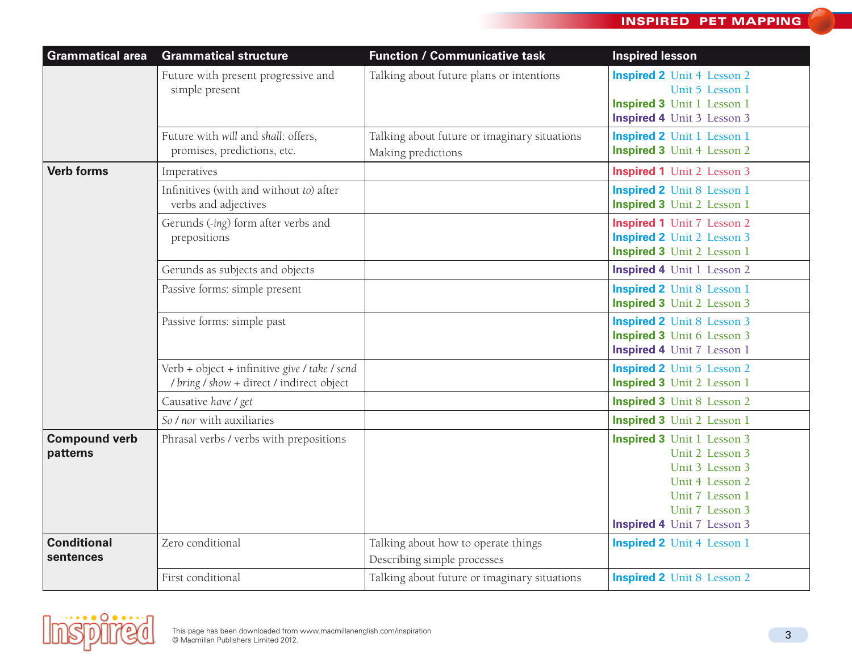| <b>Grammatical area</b>          | <b>Grammatical structure</b>                                                               | <b>Function / Communicative task</b>                               | <b>Inspired lesson</b>                                                                                                                                                |
|----------------------------------|--------------------------------------------------------------------------------------------|--------------------------------------------------------------------|-----------------------------------------------------------------------------------------------------------------------------------------------------------------------|
|                                  | Future with present progressive and<br>simple present                                      | Talking about future plans or intentions                           | <b>Inspired 2</b> Unit 4 Lesson 2<br>Unit 5 Lesson 1<br>Inspired 3 Unit 1 Lesson 1<br><b>Inspired 4</b> Unit 3 Lesson 3                                               |
|                                  | Future with will and shall: offers,<br>promises, predictions, etc.                         | Talking about future or imaginary situations<br>Making predictions | <b>Inspired 2</b> Unit 1 Lesson 1<br><b>Inspired 3</b> Unit 4 Lesson 2                                                                                                |
| <b>Verb forms</b>                | Imperatives                                                                                |                                                                    | <b>Inspired 1</b> Unit 2 Lesson 3                                                                                                                                     |
|                                  | Infinitives (with and without to) after<br>verbs and adjectives                            |                                                                    | <b>Inspired 2</b> Unit 8 Lesson 1<br><b>Inspired 3</b> Unit 2 Lesson 1                                                                                                |
|                                  | Gerunds (-ing) form after verbs and<br>prepositions                                        |                                                                    | <b>Inspired 1</b> Unit 7 Lesson 2<br><b>Inspired 2</b> Unit 2 Lesson 3<br><b>Inspired 3</b> Unit 2 Lesson 1                                                           |
|                                  | Gerunds as subjects and objects                                                            |                                                                    | <b>Inspired 4</b> Unit 1 Lesson 2                                                                                                                                     |
|                                  | Passive forms: simple present                                                              |                                                                    | <b>Inspired 2</b> Unit 8 Lesson 1<br><b>Inspired 3</b> Unit 2 Lesson 3                                                                                                |
|                                  | Passive forms: simple past                                                                 |                                                                    | <b>Inspired 2</b> Unit 8 Lesson 3<br><b>Inspired 3</b> Unit 6 Lesson 3<br><b>Inspired 4</b> Unit 7 Lesson 1                                                           |
|                                  | Verb + object + infinitive give / take / send<br>/ bring / show + direct / indirect object |                                                                    | <b>Inspired 2</b> Unit 5 Lesson 2<br><b>Inspired 3</b> Unit 2 Lesson 1                                                                                                |
|                                  | Causative have / get                                                                       |                                                                    | <b>Inspired 3</b> Unit 8 Lesson 2                                                                                                                                     |
|                                  | So / nor with auxiliaries                                                                  |                                                                    | <b>Inspired 3</b> Unit 2 Lesson 1                                                                                                                                     |
| <b>Compound verb</b><br>patterns | Phrasal verbs / verbs with prepositions                                                    |                                                                    | <b>Inspired 3</b> Unit 1 Lesson 3<br>Unit 2 Lesson 3<br>Unit 3 Lesson 3<br>Unit 4 Lesson 2<br>Unit 7 Lesson 1<br>Unit 7 Lesson 3<br><b>Inspired 4</b> Unit 7 Lesson 3 |
| <b>Conditional</b><br>sentences  | Zero conditional                                                                           | Talking about how to operate things<br>Describing simple processes | <b>Inspired 2</b> Unit 4 Lesson 1                                                                                                                                     |
|                                  | First conditional                                                                          | Talking about future or imaginary situations                       | <b>Inspired 2</b> Unit 8 Lesson 2                                                                                                                                     |

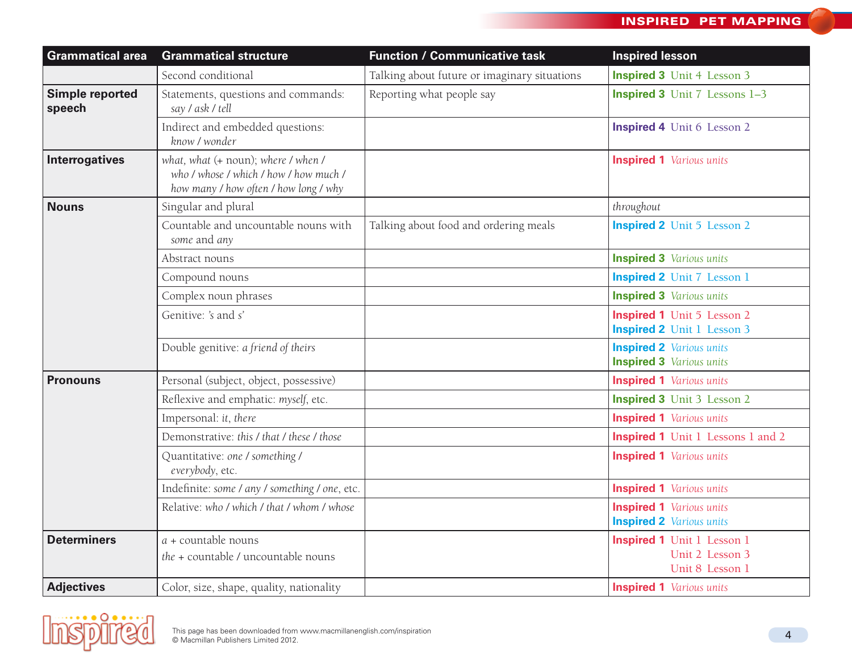| <b>Grammatical area</b>   | <b>Grammatical structure</b>                                                                                           | <b>Function / Communicative task</b>         | <b>Inspired lesson</b>                                                  |
|---------------------------|------------------------------------------------------------------------------------------------------------------------|----------------------------------------------|-------------------------------------------------------------------------|
|                           | Second conditional                                                                                                     | Talking about future or imaginary situations | <b>Inspired 3</b> Unit 4 Lesson 3                                       |
| Simple reported<br>speech | Statements, questions and commands:<br>say / ask / tell                                                                | Reporting what people say                    | <b>Inspired 3</b> Unit 7 Lessons 1-3                                    |
|                           | Indirect and embedded questions:<br>know / wonder                                                                      |                                              | <b>Inspired 4</b> Unit 6 Lesson 2                                       |
| <b>Interrogatives</b>     | what, what (+ noun); where / when /<br>who / whose / which / how / how much /<br>how many / how often / how long / why |                                              | <b>Inspired 1</b> Various units                                         |
| <b>Nouns</b>              | Singular and plural                                                                                                    |                                              | throughout                                                              |
|                           | Countable and uncountable nouns with<br>some and any                                                                   | Talking about food and ordering meals        | <b>Inspired 2</b> Unit 5 Lesson 2                                       |
|                           | Abstract nouns                                                                                                         |                                              | <b>Inspired 3</b> Various units                                         |
|                           | Compound nouns                                                                                                         |                                              | <b>Inspired 2</b> Unit 7 Lesson 1                                       |
|                           | Complex noun phrases                                                                                                   |                                              | <b>Inspired 3</b> Various units                                         |
|                           | Genitive: 's and s'                                                                                                    |                                              | <b>Inspired 1</b> Unit 5 Lesson 2<br><b>Inspired 2</b> Unit 1 Lesson 3  |
|                           | Double genitive: a friend of theirs                                                                                    |                                              | <b>Inspired 2</b> Various units<br><b>Inspired 3</b> Various units      |
| <b>Pronouns</b>           | Personal (subject, object, possessive)                                                                                 |                                              | <b>Inspired 1</b> Various units                                         |
|                           | Reflexive and emphatic: myself, etc.                                                                                   |                                              | <b>Inspired 3</b> Unit 3 Lesson 2                                       |
|                           | Impersonal: it, there                                                                                                  |                                              | <b>Inspired 1</b> Various units                                         |
|                           | Demonstrative: this / that / these / those                                                                             |                                              | <b>Inspired 1</b> Unit 1 Lessons 1 and 2                                |
|                           | Quantitative: one / something /<br>everybody, etc.                                                                     |                                              | <b>Inspired 1</b> Various units                                         |
|                           | Indefinite: some / any / something / one, etc.                                                                         |                                              | <b>Inspired 1</b> Various units                                         |
|                           | Relative: who / which / that / whom / whose                                                                            |                                              | <b>Inspired 1</b> Various units<br><b>Inspired 2</b> Various units      |
| <b>Determiners</b>        | $a$ + countable nouns<br>the + countable / uncountable nouns                                                           |                                              | <b>Inspired 1</b> Unit 1 Lesson 1<br>Unit 2 Lesson 3<br>Unit 8 Lesson 1 |
| <b>Adjectives</b>         | Color, size, shape, quality, nationality                                                                               |                                              | <b>Inspired 1</b> Various units                                         |

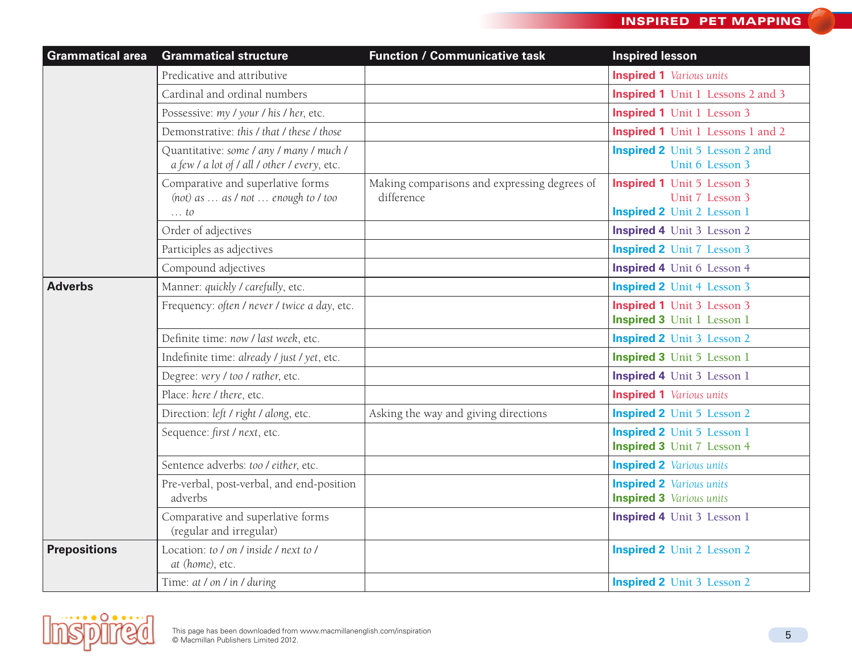| <b>Grammatical area</b> | <b>Grammatical structure</b>                                                             | <b>Function / Communicative task</b>                       | <b>Inspired lesson</b>                                                                    |
|-------------------------|------------------------------------------------------------------------------------------|------------------------------------------------------------|-------------------------------------------------------------------------------------------|
|                         | Predicative and attributive                                                              |                                                            | <b>Inspired 1</b> Various units                                                           |
|                         | Cardinal and ordinal numbers                                                             |                                                            | <b>Inspired 1</b> Unit 1 Lessons 2 and 3                                                  |
|                         | Possessive: my / your / his / her, etc.                                                  |                                                            | <b>Inspired 1</b> Unit 1 Lesson 3                                                         |
|                         | Demonstrative: this / that / these / those                                               |                                                            | <b>Inspired 1</b> Unit 1 Lessons 1 and 2                                                  |
|                         | Quantitative: some / any / many / much /<br>a few / a lot of / all / other / every, etc. |                                                            | <b>Inspired 2</b> Unit 5 Lesson 2 and<br>Unit 6 Lesson 3                                  |
|                         | Comparative and superlative forms<br>(not) as  as / not  enough to / too<br>$\ldots$ to  | Making comparisons and expressing degrees of<br>difference | <b>Inspired 1</b> Unit 5 Lesson 3<br>Unit 7 Lesson 3<br><b>Inspired 2</b> Unit 2 Lesson 1 |
|                         | Order of adjectives                                                                      |                                                            | <b>Inspired 4</b> Unit 3 Lesson 2                                                         |
|                         | Participles as adjectives                                                                |                                                            | <b>Inspired 2</b> Unit 7 Lesson 3                                                         |
|                         | Compound adjectives                                                                      |                                                            | <b>Inspired 4</b> Unit 6 Lesson 4                                                         |
| <b>Adverbs</b>          | Manner: quickly / carefully, etc.                                                        |                                                            | <b>Inspired 2</b> Unit 4 Lesson 3                                                         |
|                         | Frequency: often / never / twice a day, etc.                                             |                                                            | <b>Inspired 1</b> Unit 3 Lesson 3<br><b>Inspired 3</b> Unit 1 Lesson 1                    |
|                         | Definite time: now / last week, etc.                                                     |                                                            | <b>Inspired 2</b> Unit 3 Lesson 2                                                         |
|                         | Indefinite time: already / just / yet, etc.                                              |                                                            | <b>Inspired 3</b> Unit 5 Lesson 1                                                         |
|                         | Degree: very / too / rather, etc.                                                        |                                                            | <b>Inspired 4</b> Unit 3 Lesson 1                                                         |
|                         | Place: here / there, etc.                                                                |                                                            | <b>Inspired 1</b> Various units                                                           |
|                         | Direction: left / right / along, etc.                                                    | Asking the way and giving directions                       | <b>Inspired 2</b> Unit 5 Lesson 2                                                         |
|                         | Sequence: first / next, etc.                                                             |                                                            | <b>Inspired 2</b> Unit 5 Lesson 1<br><b>Inspired 3</b> Unit 7 Lesson 4                    |
|                         | Sentence adverbs: too / either, etc.                                                     |                                                            | <b>Inspired 2</b> Various units                                                           |
|                         | Pre-verbal, post-verbal, and end-position<br>adverbs                                     |                                                            | <b>Inspired 2</b> Various units<br><b>Inspired 3</b> Various units                        |
|                         | Comparative and superlative forms<br>(regular and irregular)                             |                                                            | <b>Inspired 4</b> Unit 3 Lesson 1                                                         |
| <b>Prepositions</b>     | Location: to / on / inside / next to /<br>at (home), etc.                                |                                                            | <b>Inspired 2</b> Unit 2 Lesson 2                                                         |
|                         | Time: at / on / in / during                                                              |                                                            | <b>Inspired 2</b> Unit 3 Lesson 2                                                         |

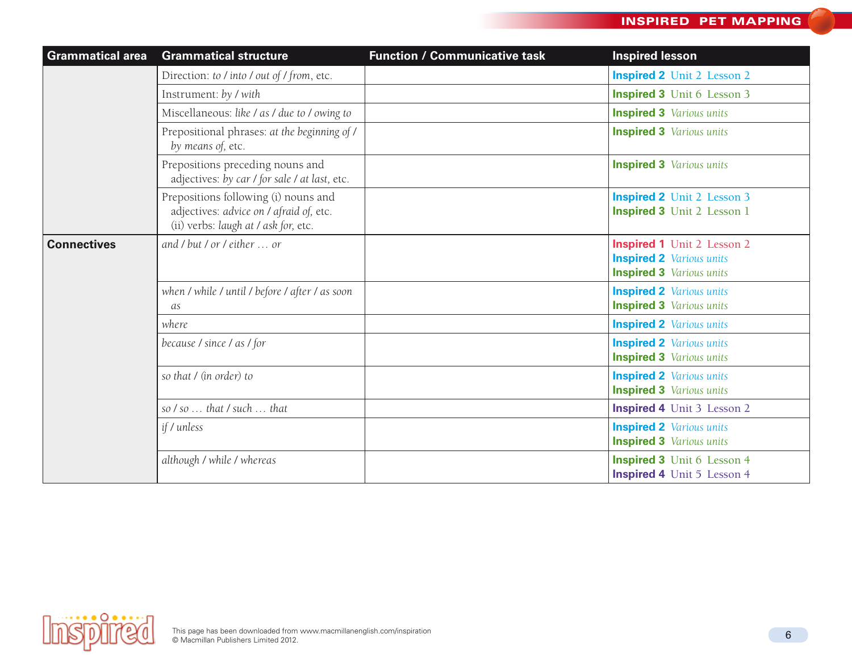| <b>Grammatical area</b> | <b>Grammatical structure</b>                                                                                            | <b>Function / Communicative task</b> | <b>Inspired lesson</b>                                                                                  |
|-------------------------|-------------------------------------------------------------------------------------------------------------------------|--------------------------------------|---------------------------------------------------------------------------------------------------------|
|                         | Direction: to / into / out of / from, etc.                                                                              |                                      | <b>Inspired 2</b> Unit 2 Lesson 2                                                                       |
|                         | Instrument: by / with                                                                                                   |                                      | <b>Inspired 3</b> Unit 6 Lesson 3                                                                       |
|                         | Miscellaneous: like / as / due to / owing to                                                                            |                                      | <b>Inspired 3</b> Various units                                                                         |
|                         | Prepositional phrases: at the beginning of /<br>by means of, etc.                                                       |                                      | <b>Inspired 3</b> Various units                                                                         |
|                         | Prepositions preceding nouns and<br>adjectives: by car / for sale / at last, etc.                                       |                                      | <b>Inspired 3</b> Various units                                                                         |
|                         | Prepositions following (i) nouns and<br>adjectives: advice on / afraid of, etc.<br>(ii) verbs: laugh at / ask for, etc. |                                      | <b>Inspired 2</b> Unit 2 Lesson 3<br><b>Inspired 3</b> Unit 2 Lesson 1                                  |
| <b>Connectives</b>      | and $\ell$ but $\ell$ or $\ell$ either $\ldots$ or                                                                      |                                      | <b>Inspired 1</b> Unit 2 Lesson 2<br><b>Inspired 2</b> Various units<br><b>Inspired 3</b> Various units |
|                         | when / while / until / before / after / as soon<br>as                                                                   |                                      | <b>Inspired 2</b> Various units<br><b>Inspired 3</b> Various units                                      |
|                         | where                                                                                                                   |                                      | <b>Inspired 2</b> Various units                                                                         |
|                         | because / since / as / for                                                                                              |                                      | <b>Inspired 2</b> Various units<br><b>Inspired 3</b> Various units                                      |
|                         | so that / (in order) to                                                                                                 |                                      | <b>Inspired 2</b> Various units<br><b>Inspired 3</b> Various units                                      |
|                         | so $/so$ that $/such$ that                                                                                              |                                      | <b>Inspired 4</b> Unit 3 Lesson 2                                                                       |
|                         | if / unless                                                                                                             |                                      | <b>Inspired 2</b> Various units<br><b>Inspired 3</b> Various units                                      |
|                         | although / while / whereas                                                                                              |                                      | <b>Inspired 3</b> Unit 6 Lesson 4<br><b>Inspired 4</b> Unit 5 Lesson 4                                  |

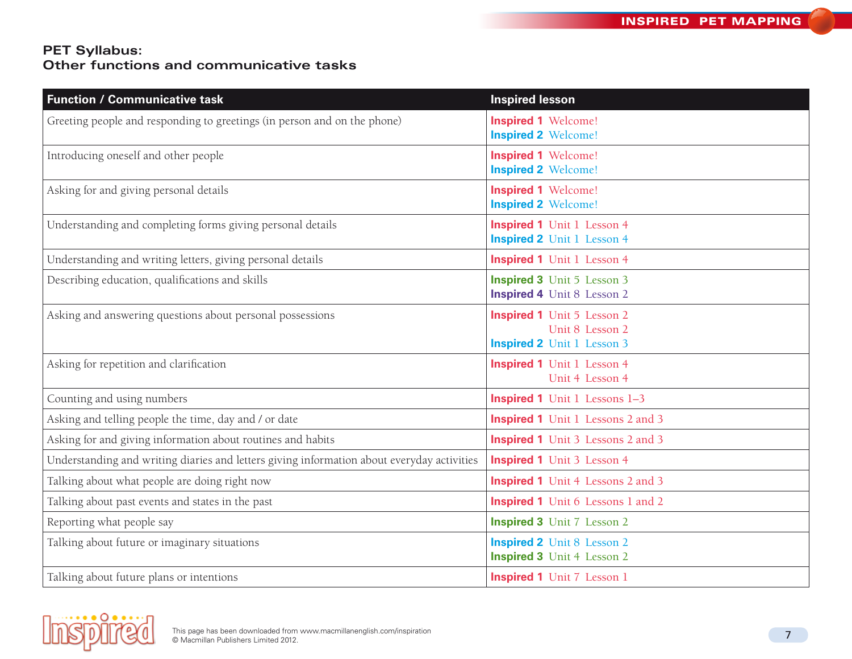## **PET Syllabus: Other functions and communicative tasks**

| <b>Function / Communicative task</b>                                                       | <b>Inspired lesson</b>                                                                    |
|--------------------------------------------------------------------------------------------|-------------------------------------------------------------------------------------------|
| Greeting people and responding to greetings (in person and on the phone)                   | <b>Inspired 1 Welcome!</b><br><b>Inspired 2 Welcome!</b>                                  |
| Introducing oneself and other people                                                       | <b>Inspired 1 Welcome!</b><br><b>Inspired 2 Welcome!</b>                                  |
| Asking for and giving personal details                                                     | <b>Inspired 1 Welcome!</b><br><b>Inspired 2 Welcome!</b>                                  |
| Understanding and completing forms giving personal details                                 | <b>Inspired 1</b> Unit 1 Lesson 4<br><b>Inspired 2</b> Unit 1 Lesson 4                    |
| Understanding and writing letters, giving personal details                                 | <b>Inspired 1</b> Unit 1 Lesson 4                                                         |
| Describing education, qualifications and skills                                            | <b>Inspired 3</b> Unit 5 Lesson 3<br><b>Inspired 4</b> Unit 8 Lesson 2                    |
| Asking and answering questions about personal possessions                                  | <b>Inspired 1</b> Unit 5 Lesson 2<br>Unit 8 Lesson 2<br><b>Inspired 2</b> Unit 1 Lesson 3 |
| Asking for repetition and clarification                                                    | <b>Inspired 1</b> Unit 1 Lesson 4<br>Unit 4 Lesson 4                                      |
| Counting and using numbers                                                                 | <b>Inspired 1</b> Unit 1 Lessons 1-3                                                      |
| Asking and telling people the time, day and / or date                                      | <b>Inspired 1</b> Unit 1 Lessons 2 and 3                                                  |
| Asking for and giving information about routines and habits                                | <b>Inspired 1</b> Unit 3 Lessons 2 and 3                                                  |
| Understanding and writing diaries and letters giving information about everyday activities | <b>Inspired 1</b> Unit 3 Lesson 4                                                         |
| Talking about what people are doing right now                                              | <b>Inspired 1</b> Unit 4 Lessons 2 and 3                                                  |
| Talking about past events and states in the past                                           | <b>Inspired 1</b> Unit 6 Lessons 1 and 2                                                  |
| Reporting what people say                                                                  | <b>Inspired 3</b> Unit 7 Lesson 2                                                         |
| Talking about future or imaginary situations                                               | <b>Inspired 2</b> Unit 8 Lesson 2<br><b>Inspired 3</b> Unit 4 Lesson 2                    |
| Talking about future plans or intentions                                                   | <b>Inspired 1</b> Unit 7 Lesson 1                                                         |

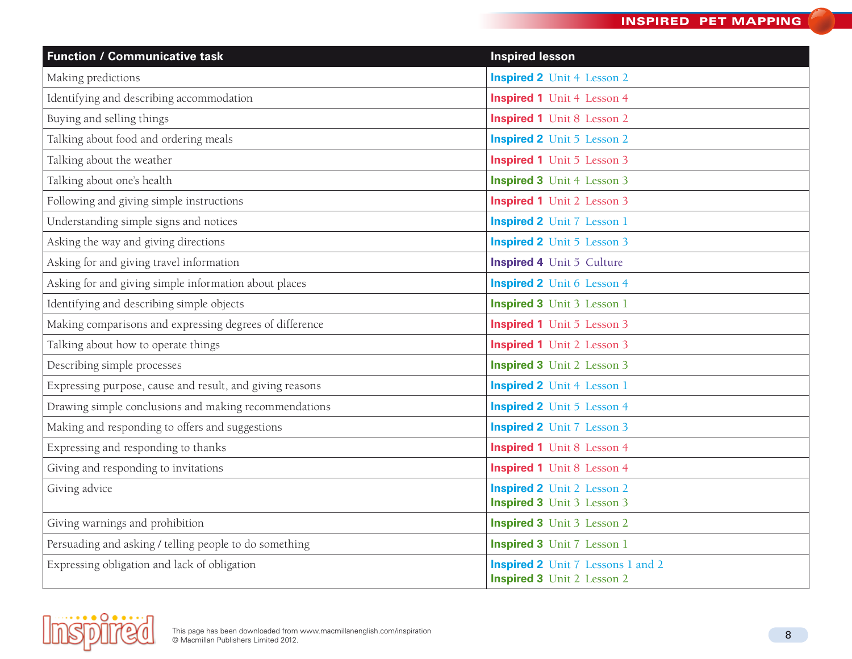| <b>Function / Communicative task</b>                     | <b>Inspired lesson</b>                                                        |
|----------------------------------------------------------|-------------------------------------------------------------------------------|
| Making predictions                                       | <b>Inspired 2</b> Unit 4 Lesson 2                                             |
| Identifying and describing accommodation                 | <b>Inspired 1</b> Unit 4 Lesson 4                                             |
| Buying and selling things                                | <b>Inspired 1</b> Unit 8 Lesson 2                                             |
| Talking about food and ordering meals                    | <b>Inspired 2</b> Unit 5 Lesson 2                                             |
| Talking about the weather                                | <b>Inspired 1</b> Unit 5 Lesson 3                                             |
| Talking about one's health                               | <b>Inspired 3</b> Unit 4 Lesson 3                                             |
| Following and giving simple instructions                 | <b>Inspired 1</b> Unit 2 Lesson 3                                             |
| Understanding simple signs and notices                   | <b>Inspired 2</b> Unit 7 Lesson 1                                             |
| Asking the way and giving directions                     | <b>Inspired 2</b> Unit 5 Lesson 3                                             |
| Asking for and giving travel information                 | <b>Inspired 4</b> Unit 5 Culture                                              |
| Asking for and giving simple information about places    | <b>Inspired 2</b> Unit 6 Lesson 4                                             |
| Identifying and describing simple objects                | <b>Inspired 3</b> Unit 3 Lesson 1                                             |
| Making comparisons and expressing degrees of difference  | <b>Inspired 1</b> Unit 5 Lesson 3                                             |
| Talking about how to operate things                      | <b>Inspired 1</b> Unit 2 Lesson 3                                             |
| Describing simple processes                              | <b>Inspired 3</b> Unit 2 Lesson 3                                             |
| Expressing purpose, cause and result, and giving reasons | <b>Inspired 2</b> Unit 4 Lesson 1                                             |
| Drawing simple conclusions and making recommendations    | <b>Inspired 2</b> Unit 5 Lesson 4                                             |
| Making and responding to offers and suggestions          | <b>Inspired 2</b> Unit 7 Lesson 3                                             |
| Expressing and responding to thanks                      | <b>Inspired 1</b> Unit 8 Lesson 4                                             |
| Giving and responding to invitations                     | <b>Inspired 1</b> Unit 8 Lesson 4                                             |
| Giving advice                                            | <b>Inspired 2</b> Unit 2 Lesson 2                                             |
|                                                          | <b>Inspired 3</b> Unit 3 Lesson 3                                             |
| Giving warnings and prohibition                          | <b>Inspired 3</b> Unit 3 Lesson 2                                             |
| Persuading and asking / telling people to do something   | <b>Inspired 3</b> Unit 7 Lesson 1                                             |
| Expressing obligation and lack of obligation             | <b>Inspired 2</b> Unit 7 Lessons 1 and 2<br><b>Inspired 3</b> Unit 2 Lesson 2 |

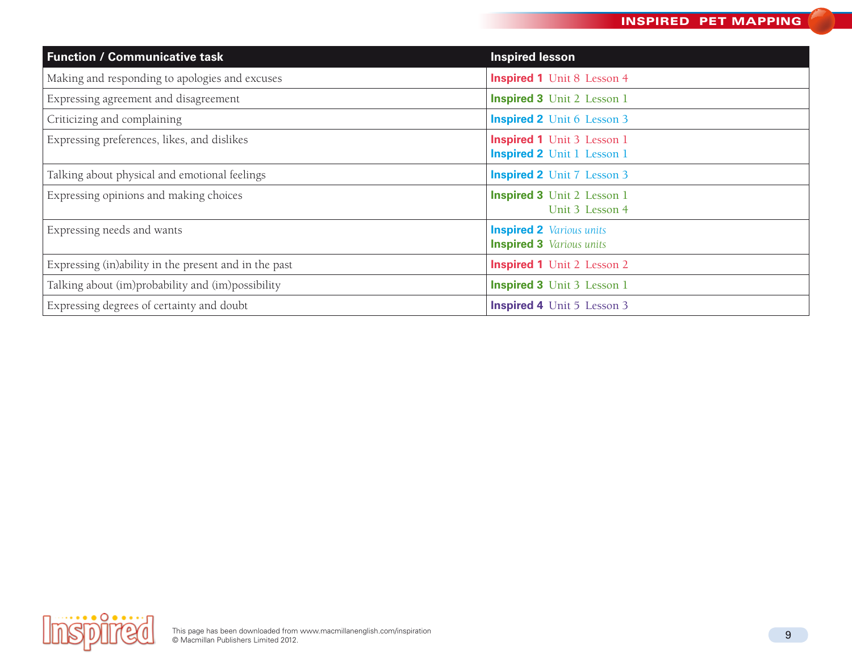| <b>Function / Communicative task</b>                  | <b>Inspired lesson</b>                                                 |
|-------------------------------------------------------|------------------------------------------------------------------------|
| Making and responding to apologies and excuses        | <b>Inspired 1</b> Unit 8 Lesson 4                                      |
| Expressing agreement and disagreement                 | <b>Inspired 3</b> Unit 2 Lesson 1                                      |
| Criticizing and complaining                           | <b>Inspired 2</b> Unit 6 Lesson 3                                      |
| Expressing preferences, likes, and dislikes           | <b>Inspired 1</b> Unit 3 Lesson 1<br><b>Inspired 2</b> Unit 1 Lesson 1 |
| Talking about physical and emotional feelings         | <b>Inspired 2</b> Unit 7 Lesson 3                                      |
| Expressing opinions and making choices                | <b>Inspired 3</b> Unit 2 Lesson 1<br>Unit 3 Lesson 4                   |
| Expressing needs and wants                            | <b>Inspired 2</b> Various units<br><b>Inspired 3</b> Various units     |
| Expressing (in)ability in the present and in the past | <b>Inspired 1</b> Unit 2 Lesson 2                                      |
| Talking about (im)probability and (im)possibility     | <b>Inspired 3</b> Unit 3 Lesson 1                                      |
| Expressing degrees of certainty and doubt             | <b>Inspired 4</b> Unit 5 Lesson 3                                      |